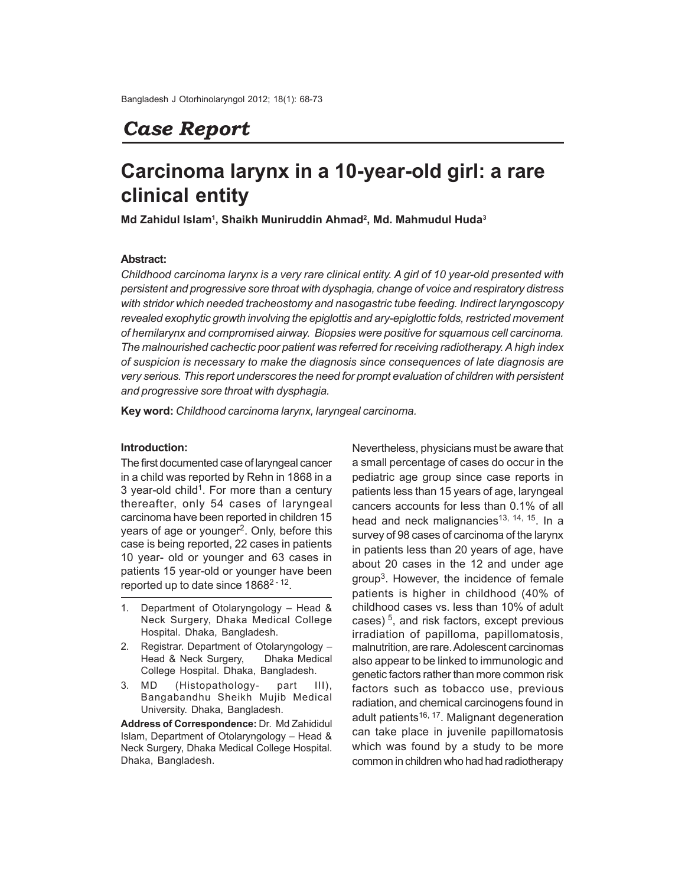## *Case Report*

# **Carcinoma larynx in a 10-year-old girl: a rare clinical entity**

**Md Zahidul Islam<sup>1</sup> , Shaikh Muniruddin Ahmad<sup>2</sup> , Md. Mahmudul Huda<sup>3</sup>**

## **Abstract:**

*Childhood carcinoma larynx is a very rare clinical entity. A girl of 10 year-old presented with persistent and progressive sore throat with dysphagia, change of voice and respiratory distress with stridor which needed tracheostomy and nasogastric tube feeding. Indirect laryngoscopy revealed exophytic growth involving the epiglottis and ary-epiglottic folds, restricted movement of hemilarynx and compromised airway. Biopsies were positive for squamous cell carcinoma. The malnourished cachectic poor patient was referred for receiving radiotherapy. A high index of suspicion is necessary to make the diagnosis since consequences of late diagnosis are very serious. This report underscores the need for prompt evaluation of children with persistent and progressive sore throat with dysphagia.*

**Key word:** *Childhood carcinoma larynx, laryngeal carcinoma.*

#### **Introduction:**

The first documented case of laryngeal cancer in a child was reported by Rehn in 1868 in a 3 year-old child<sup>1</sup>. For more than a century thereafter, only 54 cases of laryngeal carcinoma have been reported in children 15 years of age or younger<sup>2</sup>. Only, before this case is being reported, 22 cases in patients 10 year- old or younger and 63 cases in patients 15 year-old or younger have been reported up to date since 1868<sup>2 - 12</sup>.

- 1. Department of Otolaryngology Head & Neck Surgery, Dhaka Medical College Hospital. Dhaka, Bangladesh.
- 2. Registrar. Department of Otolaryngology Head & Neck Surgery, Dhaka Medical College Hospital. Dhaka, Bangladesh.
- 3. MD (Histopathology- part III), Bangabandhu Sheikh Mujib Medical University. Dhaka, Bangladesh.

**Address of Correspondence:** Dr. Md Zahididul Islam, Department of Otolaryngology – Head & Neck Surgery, Dhaka Medical College Hospital. Dhaka, Bangladesh.

Nevertheless, physicians must be aware that a small percentage of cases do occur in the pediatric age group since case reports in patients less than 15 years of age, laryngeal cancers accounts for less than 0.1% of all head and neck malignancies<sup>13, 14, 15</sup>. In a survey of 98 cases of carcinoma of the larynx in patients less than 20 years of age, have about 20 cases in the 12 and under age group<sup>3</sup>. However, the incidence of female patients is higher in childhood (40% of childhood cases vs. less than 10% of adult cases)<sup>5</sup>, and risk factors, except previous irradiation of papilloma, papillomatosis, malnutrition, are rare. Adolescent carcinomas also appear to be linked to immunologic and genetic factors rather than more common risk factors such as tobacco use, previous radiation, and chemical carcinogens found in adult patients<sup>16, 17</sup>. Malignant degeneration can take place in juvenile papillomatosis which was found by a study to be more common in children who had had radiotherapy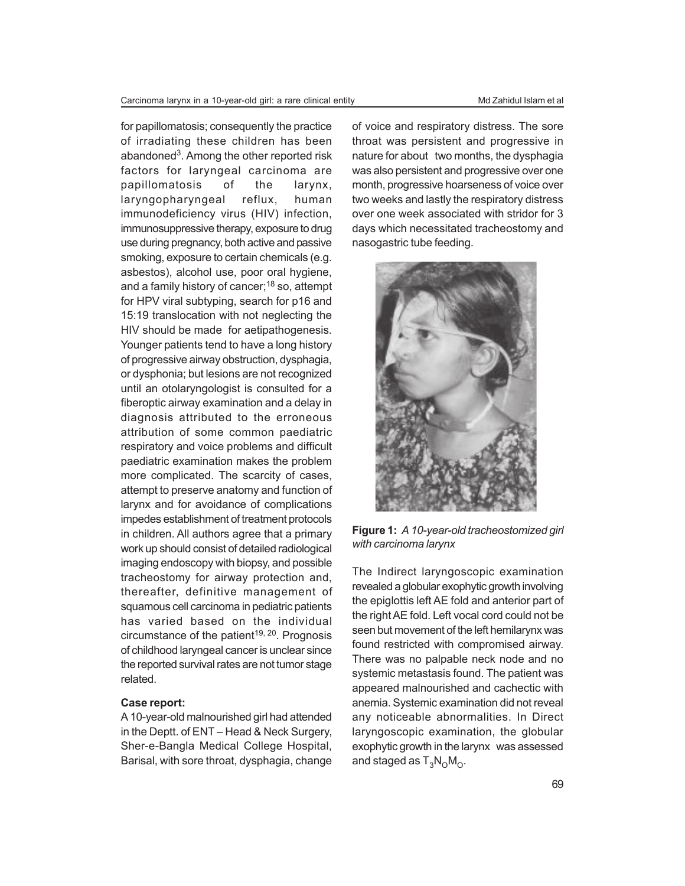for papillomatosis; consequently the practice of irradiating these children has been abandoned<sup>3</sup>. Among the other reported risk factors for laryngeal carcinoma are papillomatosis of the larynx, laryngopharyngeal reflux, human immunodeficiency virus (HIV) infection, immunosuppressive therapy, exposure to drug use during pregnancy, both active and passive smoking, exposure to certain chemicals (e.g. asbestos), alcohol use, poor oral hygiene, and a family history of cancer;<sup>18</sup> so, attempt for HPV viral subtyping, search for p16 and 15:19 translocation with not neglecting the HIV should be made for aetipathogenesis. Younger patients tend to have a long history of progressive airway obstruction, dysphagia, or dysphonia; but lesions are not recognized until an otolaryngologist is consulted for a fiberoptic airway examination and a delay in diagnosis attributed to the erroneous attribution of some common paediatric respiratory and voice problems and difficult paediatric examination makes the problem more complicated. The scarcity of cases, attempt to preserve anatomy and function of larynx and for avoidance of complications impedes establishment of treatment protocols in children. All authors agree that a primary work up should consist of detailed radiological imaging endoscopy with biopsy, and possible tracheostomy for airway protection and, thereafter, definitive management of squamous cell carcinoma in pediatric patients has varied based on the individual circumstance of the patient<sup>19, 20</sup>. Prognosis of childhood laryngeal cancer is unclear since the reported survival rates are not tumor stage related.

#### **Case report:**

A 10-year-old malnourished girl had attended in the Deptt. of ENT – Head & Neck Surgery, Sher-e-Bangla Medical College Hospital, Barisal, with sore throat, dysphagia, change

of voice and respiratory distress. The sore throat was persistent and progressive in nature for about two months, the dysphagia was also persistent and progressive over one month, progressive hoarseness of voice over two weeks and lastly the respiratory distress over one week associated with stridor for 3 days which necessitated tracheostomy and nasogastric tube feeding.



**Figure 1:** *A 10-year-old tracheostomized girl with carcinoma larynx*

The Indirect laryngoscopic examination revealed a globular exophytic growth involving the epiglottis left AE fold and anterior part of the right AE fold. Left vocal cord could not be seen but movement of the left hemilarynx was found restricted with compromised airway. There was no palpable neck node and no systemic metastasis found. The patient was appeared malnourished and cachectic with anemia. Systemic examination did not reveal any noticeable abnormalities. In Direct laryngoscopic examination, the globular exophytic growth in the larynx was assessed and staged as  $\mathsf{T}_{3}\mathsf{N}_{\mathsf{O}}\mathsf{M}_{\mathsf{O}}$ .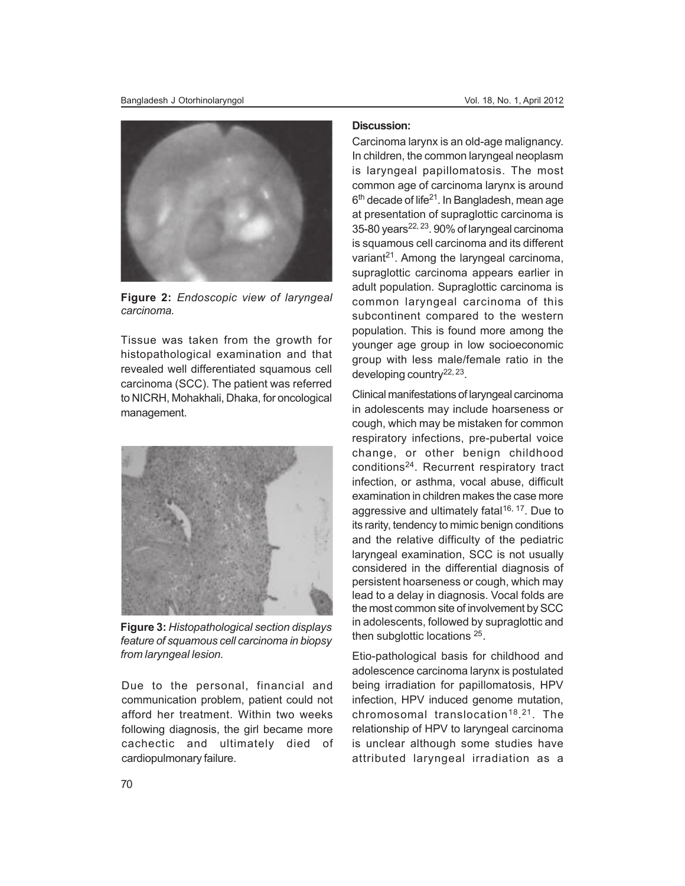

**Figure 2:** *Endoscopic view of laryngeal carcinoma.*

Tissue was taken from the growth for histopathological examination and that revealed well differentiated squamous cell carcinoma (SCC). The patient was referred to NICRH, Mohakhali, Dhaka, for oncological management.



**Figure 3:** *Histopathological section displays feature of squamous cell carcinoma in biopsy from laryngeal lesion.*

Due to the personal, financial and communication problem, patient could not afford her treatment. Within two weeks following diagnosis, the girl became more cachectic and ultimately died of cardiopulmonary failure.

## **Discussion:**

Carcinoma larynx is an old-age malignancy. In children, the common laryngeal neoplasm is laryngeal papillomatosis. The most common age of carcinoma larynx is around 6<sup>th</sup> decade of life<sup>21</sup>. In Bangladesh, mean age at presentation of supraglottic carcinoma is 35-80 years $22, 23$ . 90% of laryngeal carcinoma is squamous cell carcinoma and its different variant<sup>21</sup>. Among the laryngeal carcinoma, supraglottic carcinoma appears earlier in adult population. Supraglottic carcinoma is common laryngeal carcinoma of this subcontinent compared to the western population. This is found more among the younger age group in low socioeconomic group with less male/female ratio in the developing country<sup>22, 23</sup>.

Clinical manifestations of laryngeal carcinoma in adolescents may include hoarseness or cough, which may be mistaken for common respiratory infections, pre-pubertal voice change, or other benign childhood conditions<sup>24</sup>. Recurrent respiratory tract infection, or asthma, vocal abuse, difficult examination in children makes the case more aggressive and ultimately fatal<sup>16, 17</sup>. Due to its rarity, tendency to mimic benign conditions and the relative difficulty of the pediatric laryngeal examination, SCC is not usually considered in the differential diagnosis of persistent hoarseness or cough, which may lead to a delay in diagnosis. Vocal folds are the most common site of involvement by SCC in adolescents, followed by supraglottic and then subglottic locations <sup>25</sup>.

Etio-pathological basis for childhood and adolescence carcinoma larynx is postulated being irradiation for papillomatosis, HPV infection, HPV induced genome mutation, chromosomal translocation<sup>18</sup>.<sup>21</sup>. The relationship of HPV to laryngeal carcinoma is unclear although some studies have attributed laryngeal irradiation as a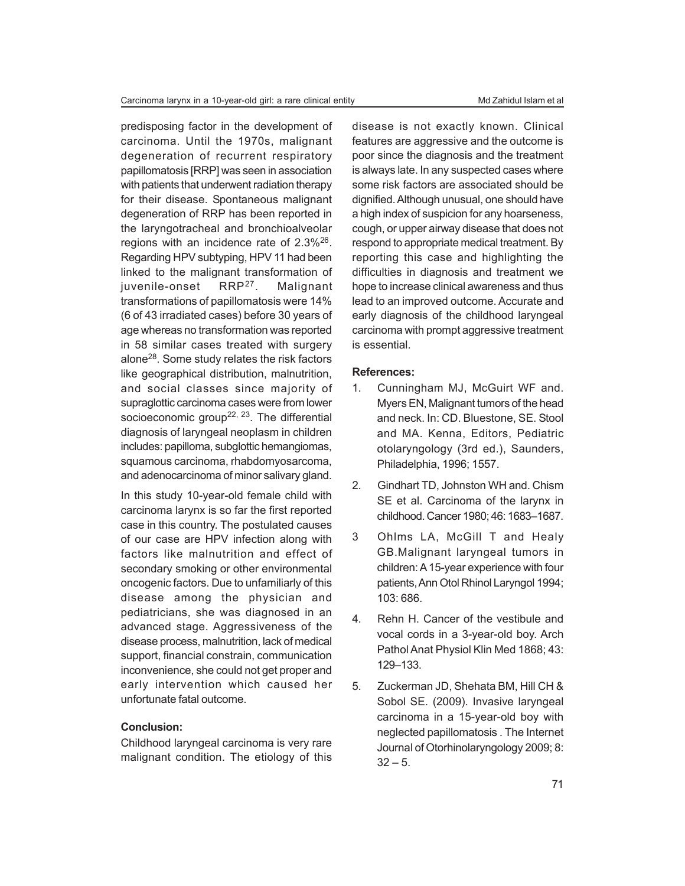predisposing factor in the development of carcinoma. Until the 1970s, malignant degeneration of recurrent respiratory papillomatosis [RRP] was seen in association with patients that underwent radiation therapy for their disease. Spontaneous malignant degeneration of RRP has been reported in the laryngotracheal and bronchioalveolar regions with an incidence rate of  $2.3\%^{26}$ . Regarding HPV subtyping, HPV 11 had been linked to the malignant transformation of juvenile-onset RRP<sup>27</sup>. Malignant transformations of papillomatosis were 14% (6 of 43 irradiated cases) before 30 years of age whereas no transformation was reported in 58 similar cases treated with surgery alone<sup>28</sup>. Some study relates the risk factors like geographical distribution, malnutrition, and social classes since majority of supraglottic carcinoma cases were from lower socioeconomic group<sup>22, 23</sup>. The differential diagnosis of laryngeal neoplasm in children includes: papilloma, subglottic hemangiomas, squamous carcinoma, rhabdomyosarcoma, and adenocarcinoma of minor salivary gland.

In this study 10-year-old female child with carcinoma larynx is so far the first reported case in this country. The postulated causes of our case are HPV infection along with factors like malnutrition and effect of secondary smoking or other environmental oncogenic factors. Due to unfamiliarly of this disease among the physician and pediatricians, she was diagnosed in an advanced stage. Aggressiveness of the disease process, malnutrition, lack of medical support, financial constrain, communication inconvenience, she could not get proper and early intervention which caused her unfortunate fatal outcome.

### **Conclusion:**

Childhood laryngeal carcinoma is very rare malignant condition. The etiology of this

disease is not exactly known. Clinical features are aggressive and the outcome is poor since the diagnosis and the treatment is always late. In any suspected cases where some risk factors are associated should be dignified. Although unusual, one should have a high index of suspicion for any hoarseness, cough, or upper airway disease that does not respond to appropriate medical treatment. By reporting this case and highlighting the difficulties in diagnosis and treatment we hope to increase clinical awareness and thus lead to an improved outcome. Accurate and early diagnosis of the childhood laryngeal carcinoma with prompt aggressive treatment is essential.

#### **References:**

- 1. Cunningham MJ, McGuirt WF and. Myers EN, Malignant tumors of the head and neck. In: CD. Bluestone, SE. Stool and MA. Kenna, Editors, Pediatric otolaryngology (3rd ed.), Saunders, Philadelphia, 1996; 1557.
- 2. Gindhart TD, Johnston WH and. Chism SE et al. Carcinoma of the larynx in childhood. Cancer 1980; 46: 1683–1687.
- 3 Ohlms LA, McGill T and Healy GB.Malignant laryngeal tumors in children: A 15-year experience with four patients, Ann Otol Rhinol Laryngol 1994; 103: 686.
- 4. Rehn H. Cancer of the vestibule and vocal cords in a 3-year-old boy. Arch Pathol Anat Physiol Klin Med 1868; 43: 129–133.
- 5. Zuckerman JD, Shehata BM, Hill CH & Sobol SE. (2009). Invasive laryngeal carcinoma in a 15-year-old boy with neglected papillomatosis . The Internet Journal of Otorhinolaryngology 2009; 8:  $32 - 5$ .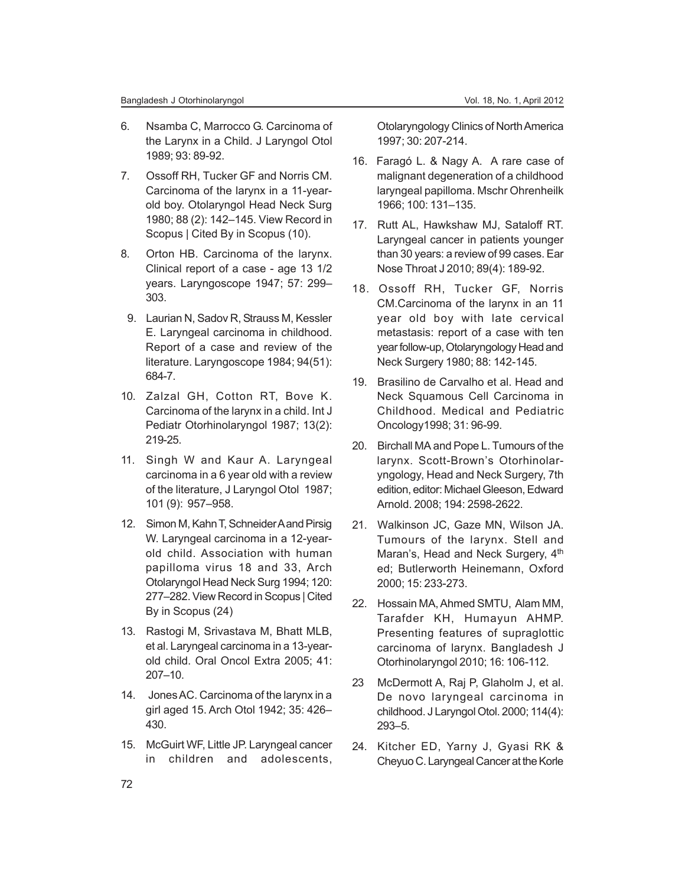- 6. Nsamba C, Marrocco G. Carcinoma of the Larynx in a Child. J Laryngol Otol 1989; 93: 89-92.
- 7. Ossoff RH, Tucker GF and Norris CM. Carcinoma of the larynx in a 11-yearold boy. Otolaryngol Head Neck Surg 1980; 88 (2): 142–145. View Record in Scopus | Cited By in Scopus (10).
- 8. Orton HB. Carcinoma of the larynx. Clinical report of a case - age 13 1/2 years. Laryngoscope 1947; 57: 299– 303.
- 9. Laurian N, Sadov R, Strauss M, Kessler E. Laryngeal carcinoma in childhood. Report of a case and review of the literature. Laryngoscope 1984; 94(51): 684-7.
- 10. Zalzal GH, Cotton RT, Bove K. Carcinoma of the larynx in a child. Int J Pediatr Otorhinolaryngol 1987; 13(2): 219-25.
- 11. Singh W and Kaur A. Laryngeal carcinoma in a 6 year old with a review of the literature, J Laryngol Otol 1987; 101 (9): 957–958.
- 12. Simon M, Kahn T, Schneider A and Pirsig W. Laryngeal carcinoma in a 12-yearold child. Association with human papilloma virus 18 and 33, Arch Otolaryngol Head Neck Surg 1994; 120: 277–282. View Record in Scopus | Cited By in Scopus (24)
- 13. Rastogi M, Srivastava M, Bhatt MLB, et al. Laryngeal carcinoma in a 13-yearold child. Oral Oncol Extra 2005; 41: 207–10.
- 14. Jones AC. Carcinoma of the larynx in a girl aged 15. Arch Otol 1942; 35: 426– 430.
- 15. McGuirt WF, Little JP. Laryngeal cancer in children and adolescents,

Otolaryngology Clinics of North America 1997; 30: 207-214.

- 16. Faragó L. & Nagy A. A rare case of malignant degeneration of a childhood laryngeal papilloma. Mschr Ohrenheilk 1966; 100: 131–135.
- 17. Rutt AL, Hawkshaw MJ, Sataloff RT. Laryngeal cancer in patients younger than 30 years: a review of 99 cases. Ear Nose Throat J 2010; 89(4): 189-92.
- 18. Ossoff RH, Tucker GF, Norris CM.Carcinoma of the larynx in an 11 year old boy with late cervical metastasis: report of a case with ten year follow-up, Otolaryngology Head and Neck Surgery 1980; 88: 142-145.
- 19. Brasilino de Carvalho et al. Head and Neck Squamous Cell Carcinoma in Childhood. Medical and Pediatric Oncology1998; 31: 96-99.
- 20. Birchall MA and Pope L. Tumours of the larynx. Scott-Brown's Otorhinolaryngology, Head and Neck Surgery, 7th edition, editor: Michael Gleeson, Edward Arnold. 2008; 194: 2598-2622.
- 21. Walkinson JC, Gaze MN, Wilson JA. Tumours of the larynx. Stell and Maran's, Head and Neck Surgery, 4<sup>th</sup> ed; Butlerworth Heinemann, Oxford 2000; 15: 233-273.
- 22. Hossain MA, Ahmed SMTU, Alam MM, Tarafder KH, Humayun AHMP. Presenting features of supraglottic carcinoma of larynx. Bangladesh J Otorhinolaryngol 2010; 16: 106-112.
- 23 McDermott A, Raj P, Glaholm J, et al. De novo laryngeal carcinoma in childhood. J Laryngol Otol. 2000; 114(4): 293–5.
- 24. Kitcher ED, Yarny J, Gyasi RK & Cheyuo C. Laryngeal Cancer at the Korle